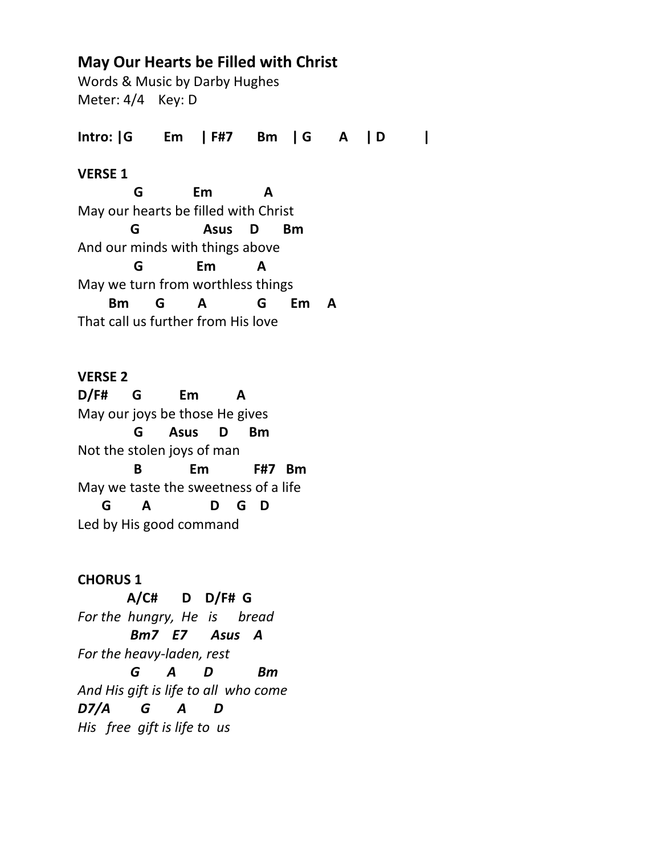# **May Our Hearts be Filled with Christ**

Words & Music by Darby Hughes Meter: 4/4 Key: D

**Intro: |G Em | F#7 Bm | G A | D |**

## **VERSE 1**

 **G Em A** May our hearts be filled with Christ  **G Asus D Bm** And our minds with things above  **G Em A**  May we turn from worthless things  **Bm G A G Em A** That call us further from His love

**VERSE 2 D/F# G Em A** May our joys be those He gives  **G Asus D Bm** Not the stolen joys of man  **B Em F#7 Bm** May we taste the sweetness of a life  **G A D G D** Led by His good command

**CHORUS 1 A/C# D D/F# G** *For the hungry, He is bread Bm7 E7 Asus A For the heavy-laden, rest G A D Bm And His gift is life to all who come D7/A G A D His free gift is life to us*